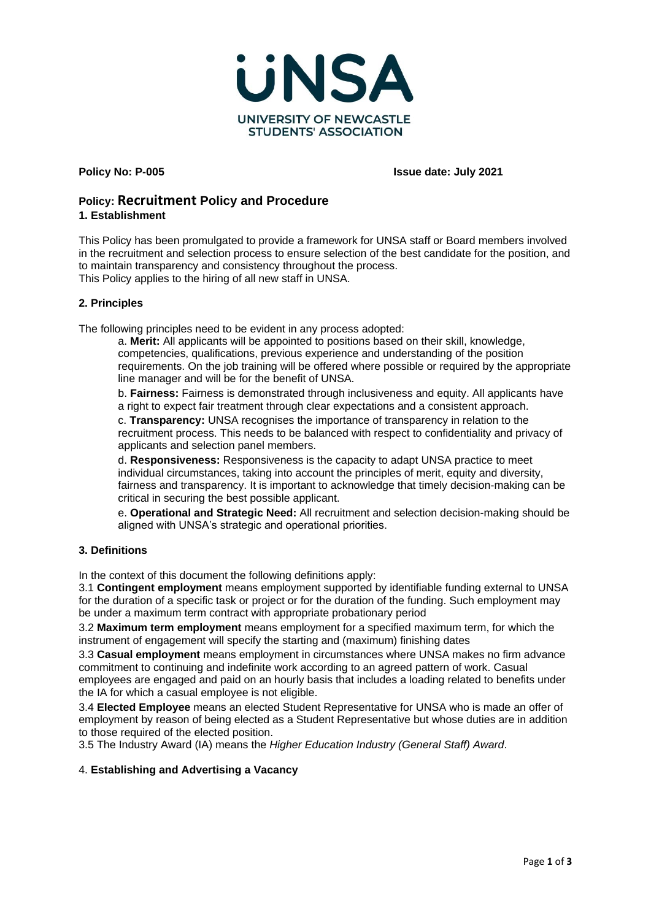

**Policy No: P-005 Issue date: July 2021**

# **Policy: Recruitment Policy and Procedure**

## **1. Establishment**

This Policy has been promulgated to provide a framework for UNSA staff or Board members involved in the recruitment and selection process to ensure selection of the best candidate for the position, and to maintain transparency and consistency throughout the process. This Policy applies to the hiring of all new staff in UNSA.

### **2. Principles**

The following principles need to be evident in any process adopted:

a. **Merit:** All applicants will be appointed to positions based on their skill, knowledge, competencies, qualifications, previous experience and understanding of the position requirements. On the job training will be offered where possible or required by the appropriate line manager and will be for the benefit of UNSA.

b. **Fairness:** Fairness is demonstrated through inclusiveness and equity. All applicants have a right to expect fair treatment through clear expectations and a consistent approach.

c. **Transparency:** UNSA recognises the importance of transparency in relation to the recruitment process. This needs to be balanced with respect to confidentiality and privacy of applicants and selection panel members.

d. **Responsiveness:** Responsiveness is the capacity to adapt UNSA practice to meet individual circumstances, taking into account the principles of merit, equity and diversity, fairness and transparency. It is important to acknowledge that timely decision-making can be critical in securing the best possible applicant.

e. **Operational and Strategic Need:** All recruitment and selection decision-making should be aligned with UNSA's strategic and operational priorities.

# **3. Definitions**

In the context of this document the following definitions apply:

3.1 **Contingent employment** means employment supported by identifiable funding external to UNSA for the duration of a specific task or project or for the duration of the funding. Such employment may be under a maximum term contract with appropriate probationary period

3.2 **Maximum term employment** means employment for a specified maximum term, for which the instrument of engagement will specify the starting and (maximum) finishing dates

3.3 **Casual employment** means employment in circumstances where UNSA makes no firm advance commitment to continuing and indefinite work according to an agreed pattern of work. Casual employees are engaged and paid on an hourly basis that includes a loading related to benefits under the IA for which a casual employee is not eligible.

3.4 **Elected Employee** means an elected Student Representative for UNSA who is made an offer of employment by reason of being elected as a Student Representative but whose duties are in addition to those required of the elected position.

3.5 The Industry Award (IA) means the *Higher Education Industry (General Staff) Award*.

# 4. **Establishing and Advertising a Vacancy**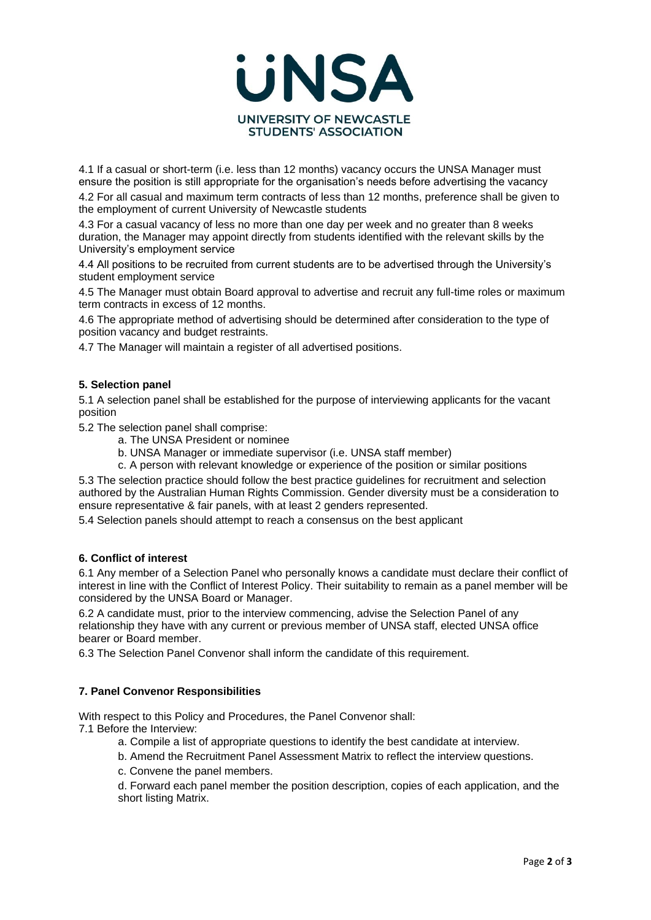

4.1 If a casual or short-term (i.e. less than 12 months) vacancy occurs the UNSA Manager must ensure the position is still appropriate for the organisation's needs before advertising the vacancy

4.2 For all casual and maximum term contracts of less than 12 months, preference shall be given to the employment of current University of Newcastle students

4.3 For a casual vacancy of less no more than one day per week and no greater than 8 weeks duration, the Manager may appoint directly from students identified with the relevant skills by the University's employment service

4.4 All positions to be recruited from current students are to be advertised through the University's student employment service

4.5 The Manager must obtain Board approval to advertise and recruit any full-time roles or maximum term contracts in excess of 12 months.

4.6 The appropriate method of advertising should be determined after consideration to the type of position vacancy and budget restraints.

4.7 The Manager will maintain a register of all advertised positions.

### **5. Selection panel**

5.1 A selection panel shall be established for the purpose of interviewing applicants for the vacant position

5.2 The selection panel shall comprise:

- a. The UNSA President or nominee
- b. UNSA Manager or immediate supervisor (i.e. UNSA staff member)
- c. A person with relevant knowledge or experience of the position or similar positions

5.3 The selection practice should follow the best practice guidelines for recruitment and selection authored by the Australian Human Rights Commission. Gender diversity must be a consideration to ensure representative & fair panels, with at least 2 genders represented.

5.4 Selection panels should attempt to reach a consensus on the best applicant

### **6. Conflict of interest**

6.1 Any member of a Selection Panel who personally knows a candidate must declare their conflict of interest in line with the Conflict of Interest Policy. Their suitability to remain as a panel member will be considered by the UNSA Board or Manager.

6.2 A candidate must, prior to the interview commencing, advise the Selection Panel of any relationship they have with any current or previous member of UNSA staff, elected UNSA office bearer or Board member.

6.3 The Selection Panel Convenor shall inform the candidate of this requirement.

### **7. Panel Convenor Responsibilities**

With respect to this Policy and Procedures, the Panel Convenor shall: 7.1 Before the Interview:

- a. Compile a list of appropriate questions to identify the best candidate at interview.
- b. Amend the Recruitment Panel Assessment Matrix to reflect the interview questions.
- c. Convene the panel members.

d. Forward each panel member the position description, copies of each application, and the short listing Matrix.